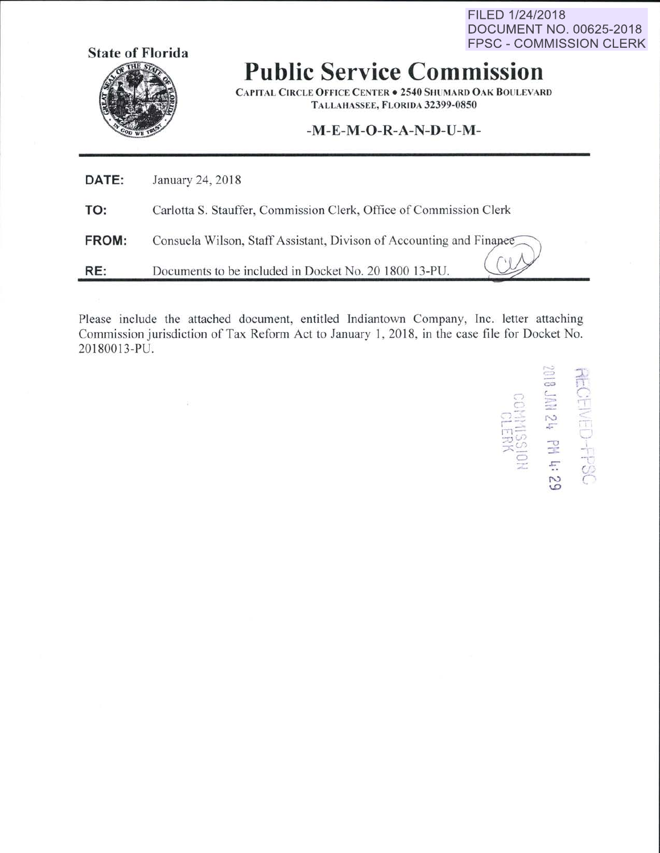FILED 1/24/2018 **DOCUMENT NO. 00625-2018 FPSC - COMMISSION CLERK** 



## **Public Service Commission**

CAPITAL CIRCLE OFFICE CENTER . 2540 SHUMARD OAK BOULEVARD TALLAHASSEE, FLORIDA 32399-0850

## **-M-E-M -0 -R-A-N-0-U-M-**

| DATE: | January 24, 2018                                                    |
|-------|---------------------------------------------------------------------|
| TO:   | Carlotta S. Stauffer, Commission Clerk, Office of Commission Clerk  |
| FROM: | Consuela Wilson, Staff Assistant, Divison of Accounting and Finance |
| RE:   | Documents to be included in Docket No. 20 1800 13-PU.               |

Please include the attached document. entitled Indiantown Company, Inc. letter attaching Commission jurisdiction of Tax Reform Act to January I, 2018. in the case file for Docket No. 201800 13-PU.